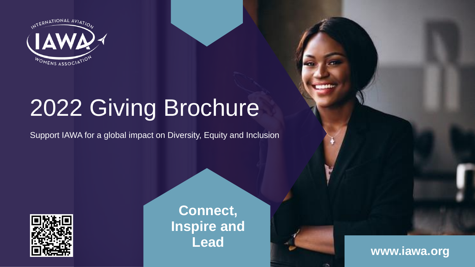

# 2022 Giving Brochure

Support IAWA for a global impact on Diversity, Equity and Inclusion



**Connect, [Inspire and](#page-1-0)  Lead**



¥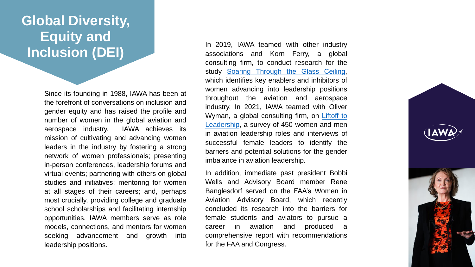### <span id="page-1-0"></span>**[Global Diversity,](#page-2-0)  Equity and Inclusion (DEI)**

Since its founding in 1988, IAWA has been at the forefront of conversations on inclusion and gender equity and has raised the profile and number of women in the global aviation and aerospace industry. IAWA achieves its mission of cultivating and advancing women leaders in the industry by fostering a strong network of women professionals; presenting in-person conferences, leadership forums and virtual events; partnering with others on global studies and initiatives; mentoring for women at all stages of their careers; and, perhaps most crucially, providing college and graduate school scholarships and facilitating internship opportunities. IAWA members serve as role models, connections, and mentors for women seeking advancement and growth into leadership positions.

In 2019, IAWA teamed with other industry associations and Korn Ferry, a global consulting firm, to conduct research for the study Soaring [Through](https://infokf.kornferry.com/rs/494-VUC-482/images/Soaring_through_the_glass_ceiling_FINAL.pdf) the Glass Ceiling, which identifies key enablers and inhibitors of women advancing into leadership positions throughout the aviation and aerospace industry. In 2021, IAWA teamed with Oliver Wyman, a global consulting firm, on Liftoff to [Leadership,](https://www.oliverwyman.com/our-expertise/insights/2021/sep/lift-off-to-leadership.html?utm_source=iawa&utm_medium=referral&utm_campaign=lift-off-to-leadership&utm_content=2021-sep) a survey of 450 women and men in aviation leadership roles and interviews of successful female leaders to identify the barriers and potential solutions for the gender imbalance in aviation leadership.

In addition, immediate past president Bobbi Wells and Advisory Board member Rene Banglesdorf served on the FAA's Women in Aviation Advisory Board, which recently concluded its research into the barriers for female students and aviators to pursue a career in aviation and produced a comprehensive report with recommendations for the FAA and Congress.



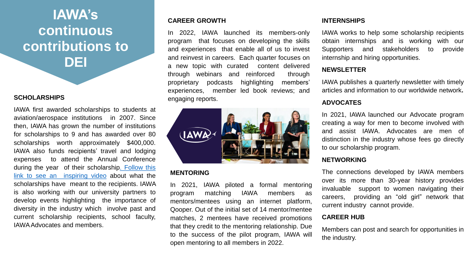## <span id="page-2-0"></span>**IAWA's continuous [contributions to](#page-3-0)  DEI**

#### **SCHOLARSHIPS**

IAWA first awarded scholarships to students at aviation/aerospace institutions in 2007. Since then, IAWA has grown the number of institutions for scholarships to 9 and has awarded over 80 scholarships worth approximately \$400,000. IAWA also funds recipients' travel and lodging expenses to attend the Annual Conference during the year of their [scholarship.](https://www.youtube.com/watch?v=bHnySidoFUE) Follow this link to see an inspiring video about what the scholarships have meant to the recipients. IAWA is also working with our university partners to develop events highlighting the importance of diversity in the industry which involve past and current scholarship recipients, school faculty, IAWAAdvocates and members.

### **CAREER GROWTH**

In 2022, IAWA launched its members-only program that focuses on developing the skills and experiences that enable all of us to invest and reinvest in careers. Each quarter focuses on a new topic with curated content delivered through webinars and reinforced through proprietary podcasts highlighting members' experiences, member led book reviews; and engaging reports.



### **MENTORING**

In 2021, IAWA piloted a formal mentoring program matching IAWA members as mentors/mentees using an internet platform, Qooper. Out of the initial set of 14 mentor/mentee matches, 2 mentees have received promotions that they credit to the mentoring relationship. Due to the success of the pilot program, IAWA will open mentoring to all members in 2022.

#### **INTERNSHIPS**

IAWA works to help some scholarship recipients obtain internships and is working with our Supporters and stakeholders to provide internship and hiring opportunities.

### **NEWSLETTER**

IAWA publishes a quarterly newsletter with timely articles and information to our worldwide network**.**

### **ADVOCATES**

In 2021, IAWA launched our Advocate program creating a way for men to become involved with and assist IAWA. Advocates are men of distinction in the industry whose fees go directly to our scholarship program.

### **NETWORKING**

The connections developed by IAWA members over its more than 30-year history provides invaluable support to women navigating their careers, providing an "old girl" network that current industry cannot provide.

### **CAREER HUB**

Members can post and search for opportunities in the industry.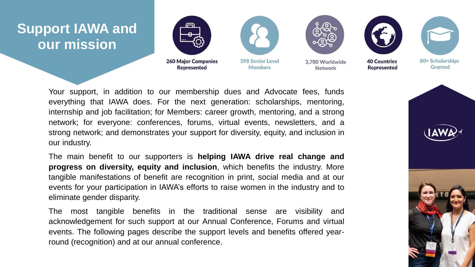### <span id="page-3-0"></span>**[Support IAWA and](#page-4-0)  our mission**



Your support, in addition to our membership dues and Advocate fees, funds everything that IAWA does. For the next generation: scholarships, mentoring, internship and job facilitation; for Members: career growth, mentoring, and a strong network; for everyone: conferences, forums, virtual events, newsletters, and a strong network; and demonstrates your support for diversity, equity, and inclusion in our industry.

The main benefit to our supporters is **helping IAWA drive real change and progress on diversity, equity and inclusion**, which benefits the industry. More tangible manifestations of benefit are recognition in print, social media and at our events for your participation in IAWA's efforts to raise women in the industry and to eliminate gender disparity.

The most tangible benefits in the traditional sense are visibility and acknowledgement for such support at our Annual Conference, Forums and virtual events. The following pages describe the support levels and benefits offered yearround (recognition) and at our annual conference.



80+ Scholarships

**Granted**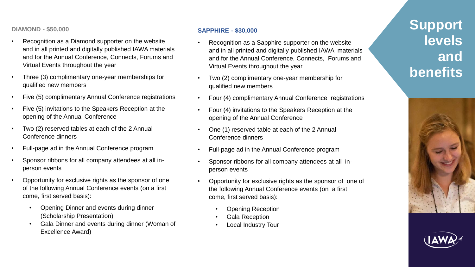<span id="page-4-0"></span>**DIAMOND - \$50,000**

- Recognition as a Diamond supporter on the website and in all printed and digitally published IAWA materials and for the Annual Conference, Connects, Forums and Virtual Events throughout the year
- Three (3) complimentary one-year memberships for qualified new members
- Five (5) complimentary Annual Conference registrations
- Five (5) invitations to the Speakers Reception at the opening of the Annual Conference
- Two (2) reserved tables at each of the 2 Annual Conference dinners
- Full-page ad in the Annual Conference program
- Sponsor ribbons for all company attendees at all inperson events
- Opportunity for exclusive rights as the sponsor of one of the following Annual Conference events (on a first come, first served basis):
	- Opening Dinner and events during dinner (Scholarship Presentation)
	- Gala Dinner and events during dinner (Woman of Excellence Award)

### **SAPPHIRE - \$30,000**

- Recognition as a Sapphire supporter on the website and in all printed and digitally published IAWA materials and for the Annual Conference, Connects, Forums and Virtual Events throughout the year
- Two (2) complimentary one-year membership for qualified new members
- Four (4) complimentary Annual Conference registrations
- Four (4) invitations to the Speakers Reception at the opening of the Annual Conference
- One (1) reserved table at each of the 2 Annual Conference dinners
- Full-page ad in the Annual Conference program
- Sponsor ribbons for all company attendees at all inperson events
- Opportunity for exclusive rights as the sponsor of one of the following Annual Conference events (on a first come, first served basis):
	- Opening Reception
	- Gala Reception
	- Local Industry Tour

### **[Support](#page-5-0)  levels and benefits**



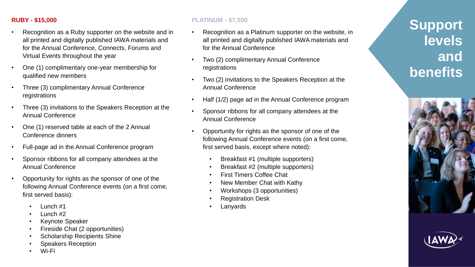### <span id="page-5-0"></span>**RUBY - \$15,000**

- Recognition as a Ruby supporter on the website and in all printed and digitally published IAWA materials and for the Annual Conference, Connects, Forums and Virtual Events throughout the year
- One (1) complimentary one-year membership for qualified new members
- Three (3) complimentary Annual Conference registrations
- Three (3) invitations to the Speakers Reception at the Annual Conference
- One (1) reserved table at each of the 2 Annual Conference dinners
- Full-page ad in the Annual Conference program
- Sponsor ribbons for all company attendees at the Annual Conference
- Opportunity for rights as the sponsor of one of the following Annual Conference events (on a first come, first served basis):
	- Lunch #1
	- Lunch #2
	- Keynote Speaker
	- Fireside Chat (2 opportunities)
	- Scholarship Recipients Shine
	- Speakers Reception
	- Wi-Fi

### **PLATINUM - \$7,500**

- Recognition as a Platinum supporter on the website, in all printed and digitally published IAWA materials and for the Annual Conference
- Two (2) complimentary Annual Conference registrations
- Two (2) invitations to the Speakers Reception at the Annual Conference
- Half (1/2) page ad in the Annual Conference program
- Sponsor ribbons for all company attendees at the Annual Conference
- Opportunity for rights as the sponsor of one of the following Annual Conference events (on a first come, first served basis, except where noted):
	- Breakfast #1 (multiple supporters)
	- Breakfast #2 (multiple supporters)
	- First Timers Coffee Chat
	- New Member Chat with Kathy
	- Workshops (3 opportunities)
	- Registration Desk
	- **Lanyards**

### **[Support](#page-6-0)  levels and benefits**